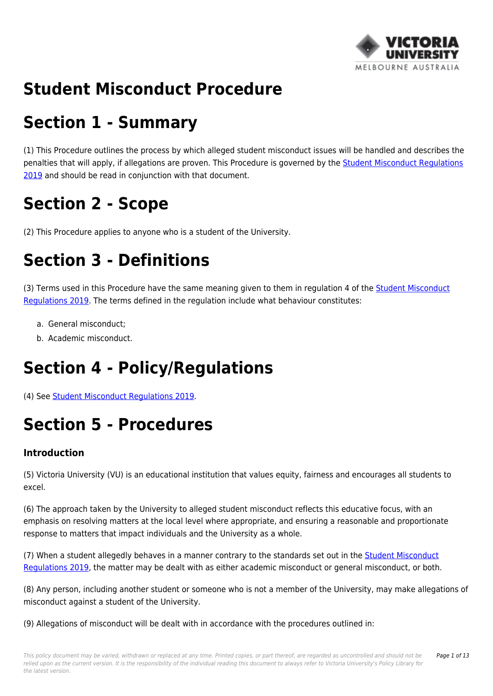

# **Student Misconduct Procedure**

# **Section 1 - Summary**

(1) This Procedure outlines the process by which alleged student misconduct issues will be handled and describes the penalties that will apply, if allegations are proven. This Procedure is governed by the **Student Misconduct Regulations** [2019](https://policy.vu.edu.au/document/view.php?id=206) and should be read in conjunction with that document.

# **Section 2 - Scope**

(2) This Procedure applies to anyone who is a student of the University.

# **Section 3 - Definitions**

(3) Terms used in this Procedure have the same meaning given to them in regulation 4 of the [Student Misconduct](https://policy.vu.edu.au/document/view.php?id=206) [Regulations 2019](https://policy.vu.edu.au/document/view.php?id=206). The terms defined in the regulation include what behaviour constitutes:

- a. General misconduct;
- b. Academic misconduct.

# **Section 4 - Policy/Regulations**

(4) See [Student Misconduct Regulations 2019.](https://policy.vu.edu.au/document/view.php?id=206)

# **Section 5 - Procedures**

### **Introduction**

(5) Victoria University (VU) is an educational institution that values equity, fairness and encourages all students to excel.

(6) The approach taken by the University to alleged student misconduct reflects this educative focus, with an emphasis on resolving matters at the local level where appropriate, and ensuring a reasonable and proportionate response to matters that impact individuals and the University as a whole.

(7) When a student allegedly behaves in a manner contrary to the standards set out in the [Student Misconduct](https://policy.vu.edu.au/document/view.php?id=206) [Regulations 2019](https://policy.vu.edu.au/document/view.php?id=206), the matter may be dealt with as either academic misconduct or general misconduct, or both.

(8) Any person, including another student or someone who is not a member of the University, may make allegations of misconduct against a student of the University.

(9) Allegations of misconduct will be dealt with in accordance with the procedures outlined in: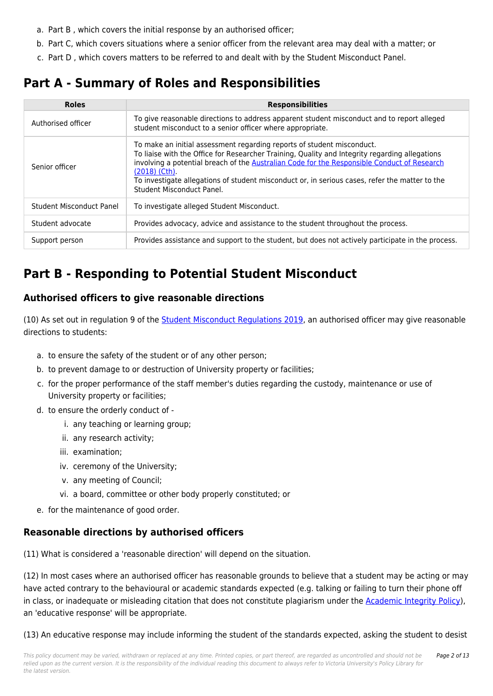- a. Part B , which covers the initial response by an authorised officer;
- b. Part C, which covers situations where a senior officer from the relevant area may deal with a matter; or
- c. Part D , which covers matters to be referred to and dealt with by the Student Misconduct Panel.

## **Part A - Summary of Roles and Responsibilities**

| <b>Roles</b>             | <b>Responsibilities</b>                                                                                                                                                                                                                                                                                                                                                                                                   |  |
|--------------------------|---------------------------------------------------------------------------------------------------------------------------------------------------------------------------------------------------------------------------------------------------------------------------------------------------------------------------------------------------------------------------------------------------------------------------|--|
| Authorised officer       | To give reasonable directions to address apparent student misconduct and to report alleged<br>student misconduct to a senior officer where appropriate.                                                                                                                                                                                                                                                                   |  |
| Senior officer           | To make an initial assessment regarding reports of student misconduct.<br>To liaise with the Office for Researcher Training, Quality and Integrity regarding allegations<br>involving a potential breach of the Australian Code for the Responsible Conduct of Research<br>$(2018)$ (Cth).<br>To investigate allegations of student misconduct or, in serious cases, refer the matter to the<br>Student Misconduct Panel. |  |
| Student Misconduct Panel | To investigate alleged Student Misconduct.                                                                                                                                                                                                                                                                                                                                                                                |  |
| Student advocate         | Provides advocacy, advice and assistance to the student throughout the process.                                                                                                                                                                                                                                                                                                                                           |  |
| Support person           | Provides assistance and support to the student, but does not actively participate in the process.                                                                                                                                                                                                                                                                                                                         |  |

## **Part B - Responding to Potential Student Misconduct**

### **Authorised officers to give reasonable directions**

(10) As set out in regulation 9 of the [Student Misconduct Regulations 2019](https://policy.vu.edu.au/document/view.php?id=206), an authorised officer may give reasonable directions to students:

- a. to ensure the safety of the student or of any other person;
- b. to prevent damage to or destruction of University property or facilities;
- c. for the proper performance of the staff member's duties regarding the custody, maintenance or use of University property or facilities;
- d. to ensure the orderly conduct of
	- i. any teaching or learning group;
	- ii. any research activity;
	- iii. examination;
	- iv. ceremony of the University;
	- v. any meeting of Council;
	- vi. a board, committee or other body properly constituted; or
- e. for the maintenance of good order.

### **Reasonable directions by authorised officers**

(11) What is considered a 'reasonable direction' will depend on the situation.

(12) In most cases where an authorised officer has reasonable grounds to believe that a student may be acting or may have acted contrary to the behavioural or academic standards expected (e.g. talking or failing to turn their phone off in class, or inadequate or misleading citation that does not constitute plagiarism under the **Academic Integrity Policy**), an 'educative response' will be appropriate.

(13) An educative response may include informing the student of the standards expected, asking the student to desist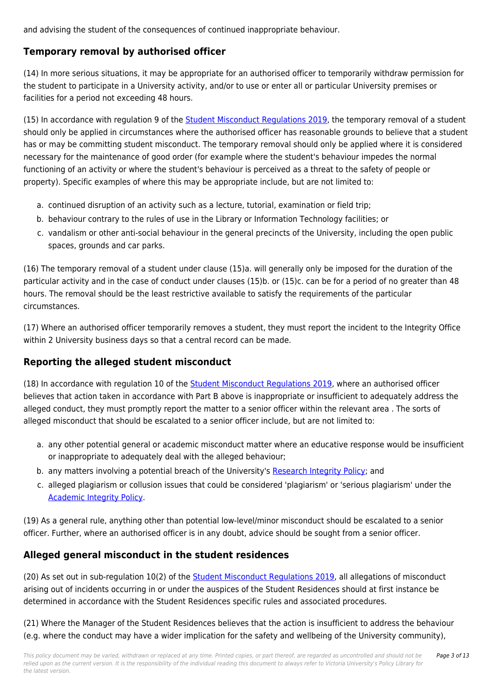and advising the student of the consequences of continued inappropriate behaviour.

### **Temporary removal by authorised officer**

(14) In more serious situations, it may be appropriate for an authorised officer to temporarily withdraw permission for the student to participate in a University activity, and/or to use or enter all or particular University premises or facilities for a period not exceeding 48 hours.

(15) In accordance with regulation 9 of the [Student Misconduct Regulations 2019](https://policy.vu.edu.au/document/view.php?id=206), the temporary removal of a student should only be applied in circumstances where the authorised officer has reasonable grounds to believe that a student has or may be committing student misconduct. The temporary removal should only be applied where it is considered necessary for the maintenance of good order (for example where the student's behaviour impedes the normal functioning of an activity or where the student's behaviour is perceived as a threat to the safety of people or property). Specific examples of where this may be appropriate include, but are not limited to:

- a. continued disruption of an activity such as a lecture, tutorial, examination or field trip;
- b. behaviour contrary to the rules of use in the Library or Information Technology facilities; or
- c. vandalism or other anti-social behaviour in the general precincts of the University, including the open public spaces, grounds and car parks.

(16) The temporary removal of a student under clause (15)a. will generally only be imposed for the duration of the particular activity and in the case of conduct under clauses (15)b. or (15)c. can be for a period of no greater than 48 hours. The removal should be the least restrictive available to satisfy the requirements of the particular circumstances.

(17) Where an authorised officer temporarily removes a student, they must report the incident to the Integrity Office within 2 University business days so that a central record can be made.

### **Reporting the alleged student misconduct**

(18) In accordance with regulation 10 of the **Student Misconduct Regulations 2019**, where an authorised officer believes that action taken in accordance with Part B above is inappropriate or insufficient to adequately address the alleged conduct, they must promptly report the matter to a senior officer within the relevant area . The sorts of alleged misconduct that should be escalated to a senior officer include, but are not limited to:

- a. any other potential general or academic misconduct matter where an educative response would be insufficient or inappropriate to adequately deal with the alleged behaviour;
- b. any matters involving a potential breach of the University's [Research Integrity Policy](https://policy.vu.edu.au/document/view.php?id=75); and
- c. alleged plagiarism or collusion issues that could be considered 'plagiarism' or 'serious plagiarism' under the [Academic Integrity Policy.](https://policy.vu.edu.au/document/view.php?id=27)

(19) As a general rule, anything other than potential low-level/minor misconduct should be escalated to a senior officer. Further, where an authorised officer is in any doubt, advice should be sought from a senior officer.

### **Alleged general misconduct in the student residences**

(20) As set out in sub-regulation 10(2) of the [Student Misconduct Regulations 2019,](https://policy.vu.edu.au/document/view.php?id=206) all allegations of misconduct arising out of incidents occurring in or under the auspices of the Student Residences should at first instance be determined in accordance with the Student Residences specific rules and associated procedures.

(21) Where the Manager of the Student Residences believes that the action is insufficient to address the behaviour (e.g. where the conduct may have a wider implication for the safety and wellbeing of the University community),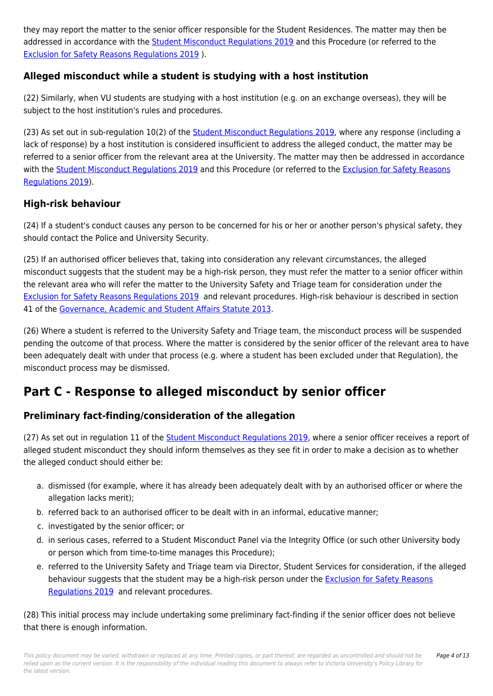they may report the matter to the senior officer responsible for the Student Residences. The matter may then be addressed in accordance with the [Student Misconduct Regulations 2019](https://policy.vu.edu.au/document/view.php?id=206) and this Procedure (or referred to the [Exclusion for Safety Reasons Regulations 2019](https://policy.vu.edu.au/document/view.php?id=151) ).

### **Alleged misconduct while a student is studying with a host institution**

(22) Similarly, when VU students are studying with a host institution (e.g. on an exchange overseas), they will be subject to the host institution's rules and procedures.

(23) As set out in sub-regulation 10(2) of the [Student Misconduct Regulations 2019,](https://policy.vu.edu.au/document/view.php?id=206) where any response (including a lack of response) by a host institution is considered insufficient to address the alleged conduct, the matter may be referred to a senior officer from the relevant area at the University. The matter may then be addressed in accordance with the [Student Misconduct Regulations 2019](https://policy.vu.edu.au/document/view.php?id=206) and this Procedure (or referred to the [Exclusion for Safety Reasons](https://policy.vu.edu.au/document/view.php?id=151) [Regulations 2019](https://policy.vu.edu.au/document/view.php?id=151)).

### **High-risk behaviour**

(24) If a student's conduct causes any person to be concerned for his or her or another person's physical safety, they should contact the Police and University Security.

(25) If an authorised officer believes that, taking into consideration any relevant circumstances, the alleged misconduct suggests that the student may be a high-risk person, they must refer the matter to a senior officer within the relevant area who will refer the matter to the University Safety and Triage team for consideration under the [Exclusion for Safety Reasons Regulations 2019](https://policy.vu.edu.au/document/view.php?id=151) and relevant procedures. High-risk behaviour is described in section 41 of the [Governance, Academic and Student Affairs Statute 2013](https://policy.vu.edu.au/document/view.php?id=243).

(26) Where a student is referred to the University Safety and Triage team, the misconduct process will be suspended pending the outcome of that process. Where the matter is considered by the senior officer of the relevant area to have been adequately dealt with under that process (e.g. where a student has been excluded under that Regulation), the misconduct process may be dismissed.

## **Part C - Response to alleged misconduct by senior officer**

### **Preliminary fact-finding/consideration of the allegation**

(27) As set out in regulation 11 of the [Student Misconduct Regulations 2019,](https://policy.vu.edu.au/document/view.php?id=206) where a senior officer receives a report of alleged student misconduct they should inform themselves as they see fit in order to make a decision as to whether the alleged conduct should either be:

- a. dismissed (for example, where it has already been adequately dealt with by an authorised officer or where the allegation lacks merit);
- b. referred back to an authorised officer to be dealt with in an informal, educative manner;
- c. investigated by the senior officer; or
- d. in serious cases, referred to a Student Misconduct Panel via the Integrity Office (or such other University body or person which from time-to-time manages this Procedure);
- e. referred to the University Safety and Triage team via Director, Student Services for consideration, if the alleged behaviour suggests that the student may be a high-risk person under the [Exclusion for Safety Reasons](https://policy.vu.edu.au/document/view.php?id=151) [Regulations 2019](https://policy.vu.edu.au/document/view.php?id=151) and relevant procedures.

(28) This initial process may include undertaking some preliminary fact-finding if the senior officer does not believe that there is enough information.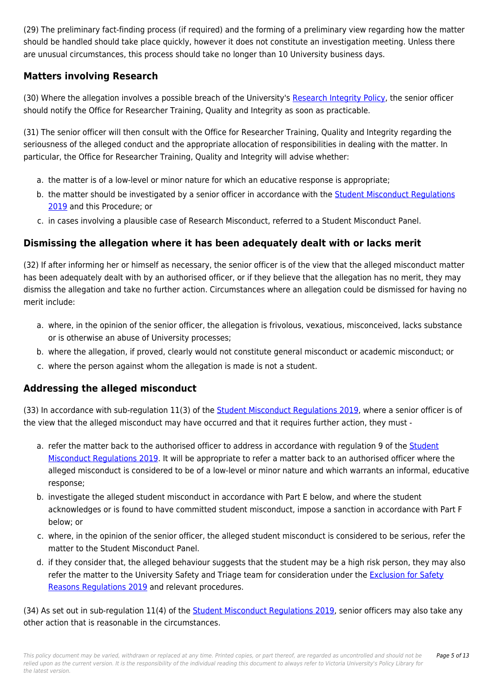(29) The preliminary fact-finding process (if required) and the forming of a preliminary view regarding how the matter should be handled should take place quickly, however it does not constitute an investigation meeting. Unless there are unusual circumstances, this process should take no longer than 10 University business days.

### **Matters involving Research**

(30) Where the allegation involves a possible breach of the University's [Research Integrity Policy](https://policy.vu.edu.au/document/view.php?id=75), the senior officer should notify the Office for Researcher Training, Quality and Integrity as soon as practicable.

(31) The senior officer will then consult with the Office for Researcher Training, Quality and Integrity regarding the seriousness of the alleged conduct and the appropriate allocation of responsibilities in dealing with the matter. In particular, the Office for Researcher Training, Quality and Integrity will advise whether:

- a. the matter is of a low-level or minor nature for which an educative response is appropriate;
- b. the matter should be investigated by a senior officer in accordance with the **Student Misconduct Regulations** [2019](https://policy.vu.edu.au/document/view.php?id=206) and this Procedure; or
- c. in cases involving a plausible case of Research Misconduct, referred to a Student Misconduct Panel.

### **Dismissing the allegation where it has been adequately dealt with or lacks merit**

(32) If after informing her or himself as necessary, the senior officer is of the view that the alleged misconduct matter has been adequately dealt with by an authorised officer, or if they believe that the allegation has no merit, they may dismiss the allegation and take no further action. Circumstances where an allegation could be dismissed for having no merit include:

- a. where, in the opinion of the senior officer, the allegation is frivolous, vexatious, misconceived, lacks substance or is otherwise an abuse of University processes;
- b. where the allegation, if proved, clearly would not constitute general misconduct or academic misconduct; or
- c. where the person against whom the allegation is made is not a student.

### **Addressing the alleged misconduct**

(33) In accordance with sub-regulation 11(3) of the [Student Misconduct Regulations 2019,](https://policy.vu.edu.au/document/view.php?id=206) where a senior officer is of the view that the alleged misconduct may have occurred and that it requires further action, they must -

- a. refer the matter back to the authorised officer to address in accordance with regulation 9 of the [Student](https://policy.vu.edu.au/document/view.php?id=206) [Misconduct Regulations 2019](https://policy.vu.edu.au/document/view.php?id=206). It will be appropriate to refer a matter back to an authorised officer where the alleged misconduct is considered to be of a low-level or minor nature and which warrants an informal, educative response;
- b. investigate the alleged student misconduct in accordance with Part E below, and where the student acknowledges or is found to have committed student misconduct, impose a sanction in accordance with Part F below; or
- c. where, in the opinion of the senior officer, the alleged student misconduct is considered to be serious, refer the matter to the Student Misconduct Panel.
- d. if they consider that, the alleged behaviour suggests that the student may be a high risk person, they may also refer the matter to the University Safety and Triage team for consideration under the [Exclusion for Safety](https://policy.vu.edu.au/document/view.php?id=151) [Reasons Regulations 2019](https://policy.vu.edu.au/document/view.php?id=151) and relevant procedures.

(34) As set out in sub-regulation 11(4) of the [Student Misconduct Regulations 2019,](https://policy.vu.edu.au/document/view.php?id=206) senior officers may also take any other action that is reasonable in the circumstances.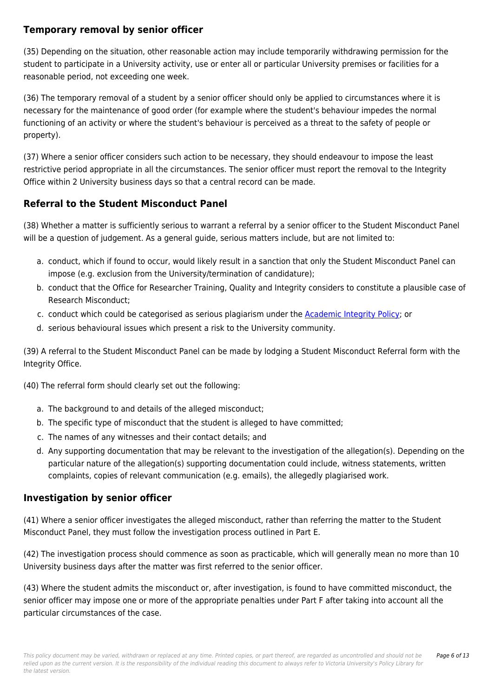### **Temporary removal by senior officer**

(35) Depending on the situation, other reasonable action may include temporarily withdrawing permission for the student to participate in a University activity, use or enter all or particular University premises or facilities for a reasonable period, not exceeding one week.

(36) The temporary removal of a student by a senior officer should only be applied to circumstances where it is necessary for the maintenance of good order (for example where the student's behaviour impedes the normal functioning of an activity or where the student's behaviour is perceived as a threat to the safety of people or property).

(37) Where a senior officer considers such action to be necessary, they should endeavour to impose the least restrictive period appropriate in all the circumstances. The senior officer must report the removal to the Integrity Office within 2 University business days so that a central record can be made.

### **Referral to the Student Misconduct Panel**

(38) Whether a matter is sufficiently serious to warrant a referral by a senior officer to the Student Misconduct Panel will be a question of judgement. As a general guide, serious matters include, but are not limited to:

- a. conduct, which if found to occur, would likely result in a sanction that only the Student Misconduct Panel can impose (e.g. exclusion from the University/termination of candidature);
- b. conduct that the Office for Researcher Training, Quality and Integrity considers to constitute a plausible case of Research Misconduct;
- c. conduct which could be categorised as serious plagiarism under the [Academic Integrity Policy;](https://policy.vu.edu.au/document/view.php?id=27) or
- d. serious behavioural issues which present a risk to the University community.

(39) A referral to the Student Misconduct Panel can be made by lodging a Student Misconduct Referral form with the Integrity Office.

(40) The referral form should clearly set out the following:

- a. The background to and details of the alleged misconduct;
- b. The specific type of misconduct that the student is alleged to have committed;
- c. The names of any witnesses and their contact details; and
- d. Any supporting documentation that may be relevant to the investigation of the allegation(s). Depending on the particular nature of the allegation(s) supporting documentation could include, witness statements, written complaints, copies of relevant communication (e.g. emails), the allegedly plagiarised work.

### **Investigation by senior officer**

(41) Where a senior officer investigates the alleged misconduct, rather than referring the matter to the Student Misconduct Panel, they must follow the investigation process outlined in Part E.

(42) The investigation process should commence as soon as practicable, which will generally mean no more than 10 University business days after the matter was first referred to the senior officer.

(43) Where the student admits the misconduct or, after investigation, is found to have committed misconduct, the senior officer may impose one or more of the appropriate penalties under Part F after taking into account all the particular circumstances of the case.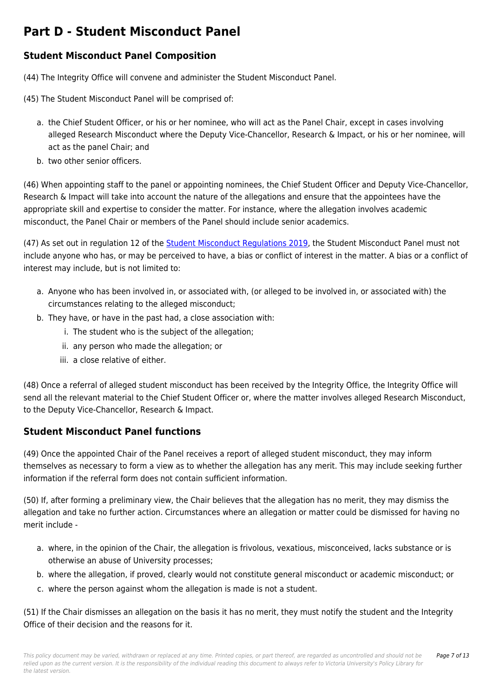## **Part D - Student Misconduct Panel**

### **Student Misconduct Panel Composition**

- (44) The Integrity Office will convene and administer the Student Misconduct Panel.
- (45) The Student Misconduct Panel will be comprised of:
	- a. the Chief Student Officer, or his or her nominee, who will act as the Panel Chair, except in cases involving alleged Research Misconduct where the Deputy Vice-Chancellor, Research & Impact, or his or her nominee, will act as the panel Chair; and
	- b. two other senior officers.

(46) When appointing staff to the panel or appointing nominees, the Chief Student Officer and Deputy Vice-Chancellor, Research & Impact will take into account the nature of the allegations and ensure that the appointees have the appropriate skill and expertise to consider the matter. For instance, where the allegation involves academic misconduct, the Panel Chair or members of the Panel should include senior academics.

(47) As set out in regulation 12 of the [Student Misconduct Regulations 2019,](https://policy.vu.edu.au/document/view.php?id=206) the Student Misconduct Panel must not include anyone who has, or may be perceived to have, a bias or conflict of interest in the matter. A bias or a conflict of interest may include, but is not limited to:

- a. Anyone who has been involved in, or associated with, (or alleged to be involved in, or associated with) the circumstances relating to the alleged misconduct;
- b. They have, or have in the past had, a close association with:
	- i. The student who is the subject of the allegation;
	- ii. any person who made the allegation; or
	- iii. a close relative of either.

(48) Once a referral of alleged student misconduct has been received by the Integrity Office, the Integrity Office will send all the relevant material to the Chief Student Officer or, where the matter involves alleged Research Misconduct, to the Deputy Vice-Chancellor, Research & Impact.

### **Student Misconduct Panel functions**

(49) Once the appointed Chair of the Panel receives a report of alleged student misconduct, they may inform themselves as necessary to form a view as to whether the allegation has any merit. This may include seeking further information if the referral form does not contain sufficient information.

(50) If, after forming a preliminary view, the Chair believes that the allegation has no merit, they may dismiss the allegation and take no further action. Circumstances where an allegation or matter could be dismissed for having no merit include -

- a. where, in the opinion of the Chair, the allegation is frivolous, vexatious, misconceived, lacks substance or is otherwise an abuse of University processes;
- b. where the allegation, if proved, clearly would not constitute general misconduct or academic misconduct; or
- c. where the person against whom the allegation is made is not a student.

(51) If the Chair dismisses an allegation on the basis it has no merit, they must notify the student and the Integrity Office of their decision and the reasons for it.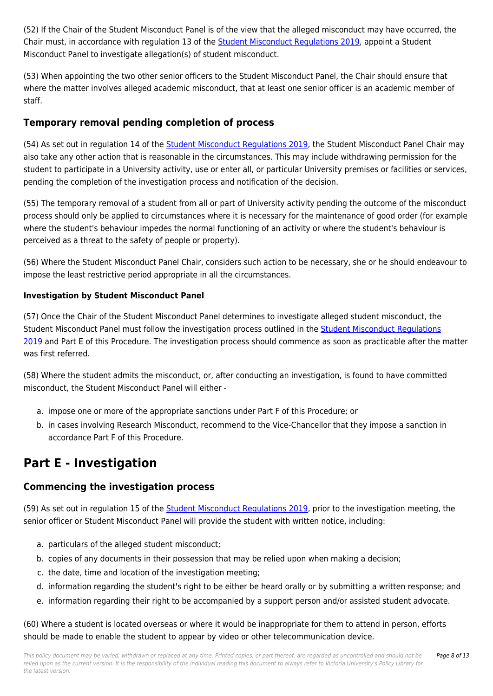(52) If the Chair of the Student Misconduct Panel is of the view that the alleged misconduct may have occurred, the Chair must, in accordance with regulation 13 of the [Student Misconduct Regulations 2019](https://policy.vu.edu.au/document/view.php?id=206), appoint a Student Misconduct Panel to investigate allegation(s) of student misconduct.

(53) When appointing the two other senior officers to the Student Misconduct Panel, the Chair should ensure that where the matter involves alleged academic misconduct, that at least one senior officer is an academic member of staff.

### **Temporary removal pending completion of process**

(54) As set out in regulation 14 of the [Student Misconduct Regulations 2019,](https://policy.vu.edu.au/document/view.php?id=206) the Student Misconduct Panel Chair may also take any other action that is reasonable in the circumstances. This may include withdrawing permission for the student to participate in a University activity, use or enter all, or particular University premises or facilities or services, pending the completion of the investigation process and notification of the decision.

(55) The temporary removal of a student from all or part of University activity pending the outcome of the misconduct process should only be applied to circumstances where it is necessary for the maintenance of good order (for example where the student's behaviour impedes the normal functioning of an activity or where the student's behaviour is perceived as a threat to the safety of people or property).

(56) Where the Student Misconduct Panel Chair, considers such action to be necessary, she or he should endeavour to impose the least restrictive period appropriate in all the circumstances.

#### **Investigation by Student Misconduct Panel**

(57) Once the Chair of the Student Misconduct Panel determines to investigate alleged student misconduct, the Student Misconduct Panel must follow the investigation process outlined in the [Student Misconduct Regulations](https://policy.vu.edu.au/document/view.php?id=206) [2019](https://policy.vu.edu.au/document/view.php?id=206) and Part E of this Procedure. The investigation process should commence as soon as practicable after the matter was first referred.

(58) Where the student admits the misconduct, or, after conducting an investigation, is found to have committed misconduct, the Student Misconduct Panel will either -

- a. impose one or more of the appropriate sanctions under Part F of this Procedure; or
- b. in cases involving Research Misconduct, recommend to the Vice-Chancellor that they impose a sanction in accordance Part F of this Procedure.

## **Part E - Investigation**

### **Commencing the investigation process**

(59) As set out in regulation 15 of the [Student Misconduct Regulations 2019,](https://policy.vu.edu.au/document/view.php?id=206) prior to the investigation meeting, the senior officer or Student Misconduct Panel will provide the student with written notice, including:

- a. particulars of the alleged student misconduct;
- b. copies of any documents in their possession that may be relied upon when making a decision;
- c. the date, time and location of the investigation meeting;
- d. information regarding the student's right to be either be heard orally or by submitting a written response; and
- e. information regarding their right to be accompanied by a support person and/or assisted student advocate.

(60) Where a student is located overseas or where it would be inappropriate for them to attend in person, efforts should be made to enable the student to appear by video or other telecommunication device.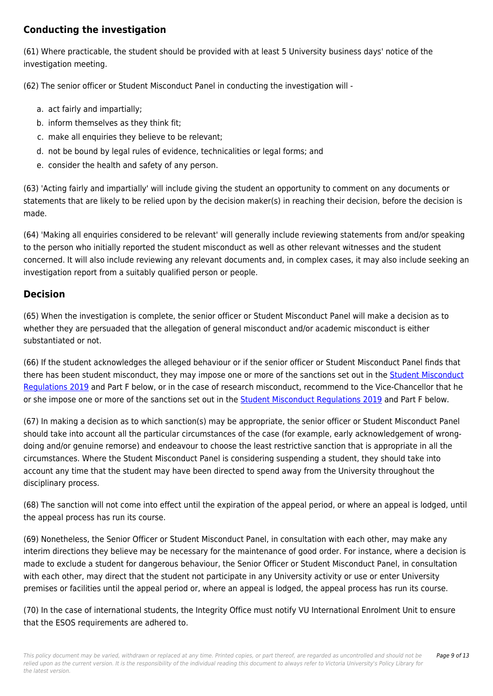### **Conducting the investigation**

(61) Where practicable, the student should be provided with at least 5 University business days' notice of the investigation meeting.

(62) The senior officer or Student Misconduct Panel in conducting the investigation will -

- a. act fairly and impartially;
- b. inform themselves as they think fit;
- c. make all enquiries they believe to be relevant;
- d. not be bound by legal rules of evidence, technicalities or legal forms; and
- e. consider the health and safety of any person.

(63) 'Acting fairly and impartially' will include giving the student an opportunity to comment on any documents or statements that are likely to be relied upon by the decision maker(s) in reaching their decision, before the decision is made.

(64) 'Making all enquiries considered to be relevant' will generally include reviewing statements from and/or speaking to the person who initially reported the student misconduct as well as other relevant witnesses and the student concerned. It will also include reviewing any relevant documents and, in complex cases, it may also include seeking an investigation report from a suitably qualified person or people.

### **Decision**

(65) When the investigation is complete, the senior officer or Student Misconduct Panel will make a decision as to whether they are persuaded that the allegation of general misconduct and/or academic misconduct is either substantiated or not.

(66) If the student acknowledges the alleged behaviour or if the senior officer or Student Misconduct Panel finds that there has been student misconduct, they may impose one or more of the sanctions set out in the **[Student Misconduct](https://policy.vu.edu.au/document/view.php?id=206)** [Regulations 2019](https://policy.vu.edu.au/document/view.php?id=206) and Part F below, or in the case of research misconduct, recommend to the Vice-Chancellor that he or she impose one or more of the sanctions set out in the [Student Misconduct Regulations 2019](https://policy.vu.edu.au/document/view.php?id=206) and Part F below.

(67) In making a decision as to which sanction(s) may be appropriate, the senior officer or Student Misconduct Panel should take into account all the particular circumstances of the case (for example, early acknowledgement of wrongdoing and/or genuine remorse) and endeavour to choose the least restrictive sanction that is appropriate in all the circumstances. Where the Student Misconduct Panel is considering suspending a student, they should take into account any time that the student may have been directed to spend away from the University throughout the disciplinary process.

(68) The sanction will not come into effect until the expiration of the appeal period, or where an appeal is lodged, until the appeal process has run its course.

(69) Nonetheless, the Senior Officer or Student Misconduct Panel, in consultation with each other, may make any interim directions they believe may be necessary for the maintenance of good order. For instance, where a decision is made to exclude a student for dangerous behaviour, the Senior Officer or Student Misconduct Panel, in consultation with each other, may direct that the student not participate in any University activity or use or enter University premises or facilities until the appeal period or, where an appeal is lodged, the appeal process has run its course.

(70) In the case of international students, the Integrity Office must notify VU International Enrolment Unit to ensure that the ESOS requirements are adhered to.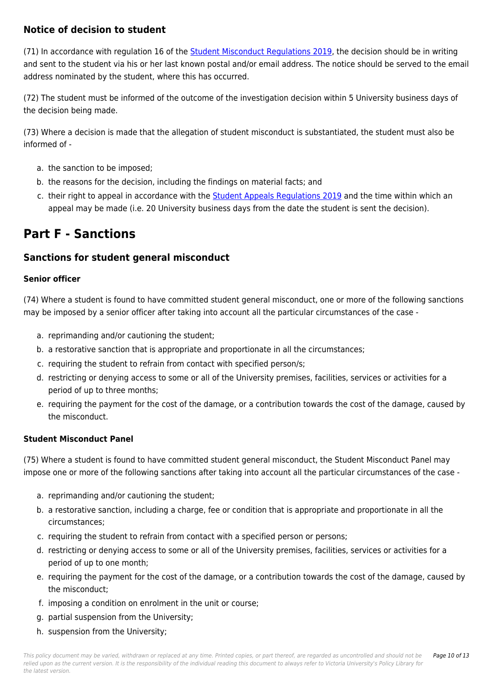### **Notice of decision to student**

(71) In accordance with regulation 16 of the [Student Misconduct Regulations 2019,](https://policy.vu.edu.au/document/view.php?id=206) the decision should be in writing and sent to the student via his or her last known postal and/or email address. The notice should be served to the email address nominated by the student, where this has occurred.

(72) The student must be informed of the outcome of the investigation decision within 5 University business days of the decision being made.

(73) Where a decision is made that the allegation of student misconduct is substantiated, the student must also be informed of -

- a. the sanction to be imposed;
- b. the reasons for the decision, including the findings on material facts; and
- c. their right to appeal in accordance with the [Student Appeals Regulations 2019](https://policy.vu.edu.au/document/view.php?id=207) and the time within which an appeal may be made (i.e. 20 University business days from the date the student is sent the decision).

## **Part F - Sanctions**

### **Sanctions for student general misconduct**

#### **Senior officer**

(74) Where a student is found to have committed student general misconduct, one or more of the following sanctions may be imposed by a senior officer after taking into account all the particular circumstances of the case -

- a. reprimanding and/or cautioning the student;
- b. a restorative sanction that is appropriate and proportionate in all the circumstances;
- c. requiring the student to refrain from contact with specified person/s;
- d. restricting or denying access to some or all of the University premises, facilities, services or activities for a period of up to three months;
- e. requiring the payment for the cost of the damage, or a contribution towards the cost of the damage, caused by the misconduct.

#### **Student Misconduct Panel**

(75) Where a student is found to have committed student general misconduct, the Student Misconduct Panel may impose one or more of the following sanctions after taking into account all the particular circumstances of the case -

- a. reprimanding and/or cautioning the student;
- b. a restorative sanction, including a charge, fee or condition that is appropriate and proportionate in all the circumstances;
- c. requiring the student to refrain from contact with a specified person or persons;
- d. restricting or denying access to some or all of the University premises, facilities, services or activities for a period of up to one month;
- e. requiring the payment for the cost of the damage, or a contribution towards the cost of the damage, caused by the misconduct;
- f. imposing a condition on enrolment in the unit or course;
- g. partial suspension from the University;
- h. suspension from the University;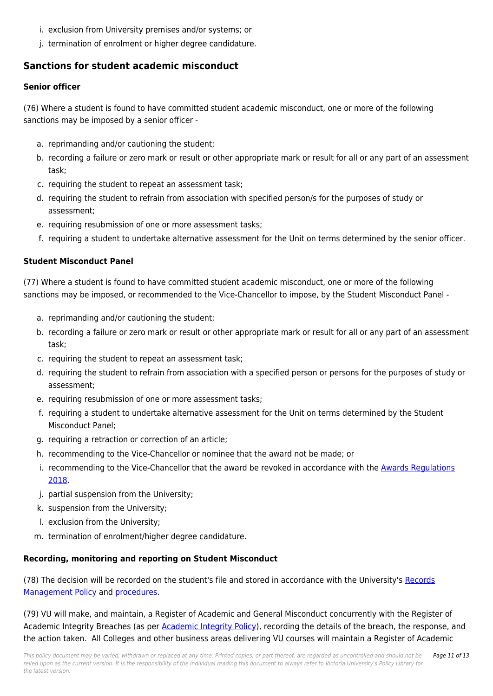- i. exclusion from University premises and/or systems; or
- j. termination of enrolment or higher degree candidature.

### **Sanctions for student academic misconduct**

#### **Senior officer**

(76) Where a student is found to have committed student academic misconduct, one or more of the following sanctions may be imposed by a senior officer -

- a. reprimanding and/or cautioning the student;
- b. recording a failure or zero mark or result or other appropriate mark or result for all or any part of an assessment task;
- c. requiring the student to repeat an assessment task;
- d. requiring the student to refrain from association with specified person/s for the purposes of study or assessment;
- e. requiring resubmission of one or more assessment tasks;
- f. requiring a student to undertake alternative assessment for the Unit on terms determined by the senior officer.

#### **Student Misconduct Panel**

(77) Where a student is found to have committed student academic misconduct, one or more of the following sanctions may be imposed, or recommended to the Vice-Chancellor to impose, by the Student Misconduct Panel -

- a. reprimanding and/or cautioning the student;
- b. recording a failure or zero mark or result or other appropriate mark or result for all or any part of an assessment task;
- c. requiring the student to repeat an assessment task;
- d. requiring the student to refrain from association with a specified person or persons for the purposes of study or assessment;
- e. requiring resubmission of one or more assessment tasks;
- f. requiring a student to undertake alternative assessment for the Unit on terms determined by the Student Misconduct Panel;
- g. requiring a retraction or correction of an article;
- h. recommending to the Vice-Chancellor or nominee that the award not be made; or
- i. recommending to the Vice-Chancellor that the award be revoked in accordance with the [Awards Regulations](https://policy.vu.edu.au/document/view.php?id=148) [2018](https://policy.vu.edu.au/document/view.php?id=148).
- j. partial suspension from the University;
- k. suspension from the University;
- l. exclusion from the University;
- m. termination of enrolment/higher degree candidature.

#### **Recording, monitoring and reporting on Student Misconduct**

(78) The decision will be recorded on the student's file and stored in accordance with the University's [Records](https://policy.vu.edu.au/document/view.php?id=1) [Management Policy](https://policy.vu.edu.au/document/view.php?id=1) and [procedures](https://policy.vu.edu.au/browse.php#R).

(79) VU will make, and maintain, a Register of Academic and General Misconduct concurrently with the Register of Academic Integrity Breaches (as per [Academic Integrity Policy\)](https://policy.vu.edu.au/document/view.php?id=27), recording the details of the breach, the response, and the action taken. All Colleges and other business areas delivering VU courses will maintain a Register of Academic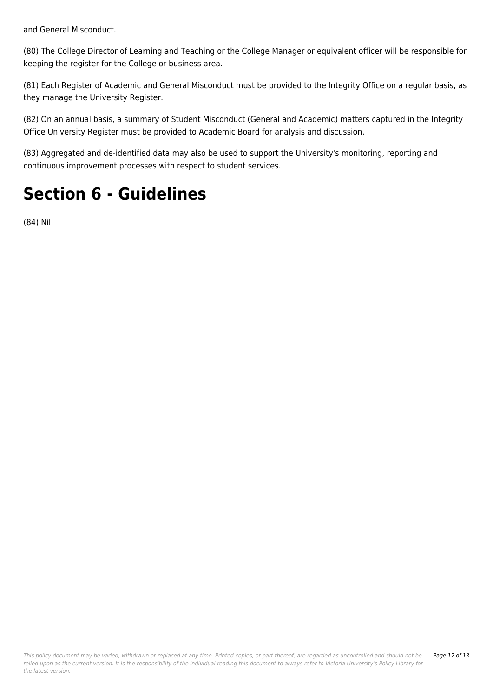and General Misconduct.

(80) The College Director of Learning and Teaching or the College Manager or equivalent officer will be responsible for keeping the register for the College or business area.

(81) Each Register of Academic and General Misconduct must be provided to the Integrity Office on a regular basis, as they manage the University Register.

(82) On an annual basis, a summary of Student Misconduct (General and Academic) matters captured in the Integrity Office University Register must be provided to Academic Board for analysis and discussion.

(83) Aggregated and de-identified data may also be used to support the University's monitoring, reporting and continuous improvement processes with respect to student services.

## **Section 6 - Guidelines**

(84) Nil